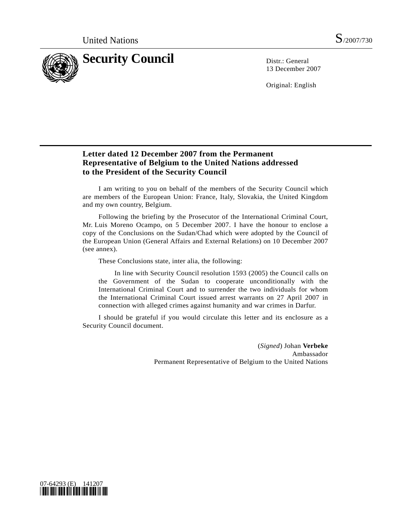

13 December 2007

Original: English

## **Letter dated 12 December 2007 from the Permanent Representative of Belgium to the United Nations addressed to the President of the Security Council**

 I am writing to you on behalf of the members of the Security Council which are members of the European Union: France, Italy, Slovakia, the United Kingdom and my own country, Belgium.

 Following the briefing by the Prosecutor of the International Criminal Court, Mr. Luis Moreno Ocampo, on 5 December 2007. I have the honour to enclose a copy of the Conclusions on the Sudan/Chad which were adopted by the Council of the European Union (General Affairs and External Relations) on 10 December 2007 (see annex).

These Conclusions state, inter alia, the following:

 In line with Security Council resolution 1593 (2005) the Council calls on the Government of the Sudan to cooperate unconditionally with the International Criminal Court and to surrender the two individuals for whom the International Criminal Court issued arrest warrants on 27 April 2007 in connection with alleged crimes against humanity and war crimes in Darfur.

 I should be grateful if you would circulate this letter and its enclosure as a Security Council document.

> (*Signed*) Johan **Verbeke**  Ambassador Permanent Representative of Belgium to the United Nations

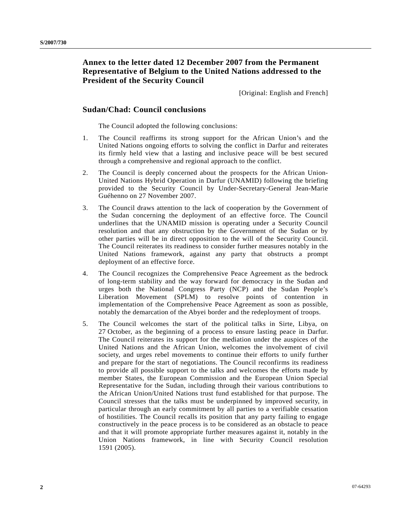## **Annex to the letter dated 12 December 2007 from the Permanent Representative of Belgium to the United Nations addressed to the President of the Security Council**

[Original: English and French]

## **Sudan/Chad: Council conclusions**

The Council adopted the following conclusions:

- 1. The Council reaffirms its strong support for the African Union's and the United Nations ongoing efforts to solving the conflict in Darfur and reiterates its firmly held view that a lasting and inclusive peace will be best secured through a comprehensive and regional approach to the conflict.
- 2. The Council is deeply concerned about the prospects for the African Union-United Nations Hybrid Operation in Darfur (UNAMID) following the briefing provided to the Security Council by Under-Secretary-General Jean-Marie Guéhenno on 27 November 2007.
- 3. The Council draws attention to the lack of cooperation by the Government of the Sudan concerning the deployment of an effective force. The Council underlines that the UNAMID mission is operating under a Security Council resolution and that any obstruction by the Government of the Sudan or by other parties will be in direct opposition to the will of the Security Council. The Council reiterates its readiness to consider further measures notably in the United Nations framework, against any party that obstructs a prompt deployment of an effective force.
- 4. The Council recognizes the Comprehensive Peace Agreement as the bedrock of long-term stability and the way forward for democracy in the Sudan and urges both the National Congress Party (NCP) and the Sudan People's Liberation Movement (SPLM) to resolve points of contention in implementation of the Comprehensive Peace Agreement as soon as possible, notably the demarcation of the Abyei border and the redeployment of troops.
- 5. The Council welcomes the start of the political talks in Sirte, Libya, on 27 October, as the beginning of a process to ensure lasting peace in Darfur. The Council reiterates its support for the mediation under the auspices of the United Nations and the African Union, welcomes the involvement of civil society, and urges rebel movements to continue their efforts to unify further and prepare for the start of negotiations. The Council reconfirms its readiness to provide all possible support to the talks and welcomes the efforts made by member States, the European Commission and the European Union Special Representative for the Sudan, including through their various contributions to the African Union/United Nations trust fund established for that purpose. The Council stresses that the talks must be underpinned by improved security, in particular through an early commitment by all parties to a verifiable cessation of hostilities. The Council recalls its position that any party failing to engage constructively in the peace process is to be considered as an obstacle to peace and that it will promote appropriate further measures against it, notably in the Union Nations framework, in line with Security Council resolution 1591 (2005).